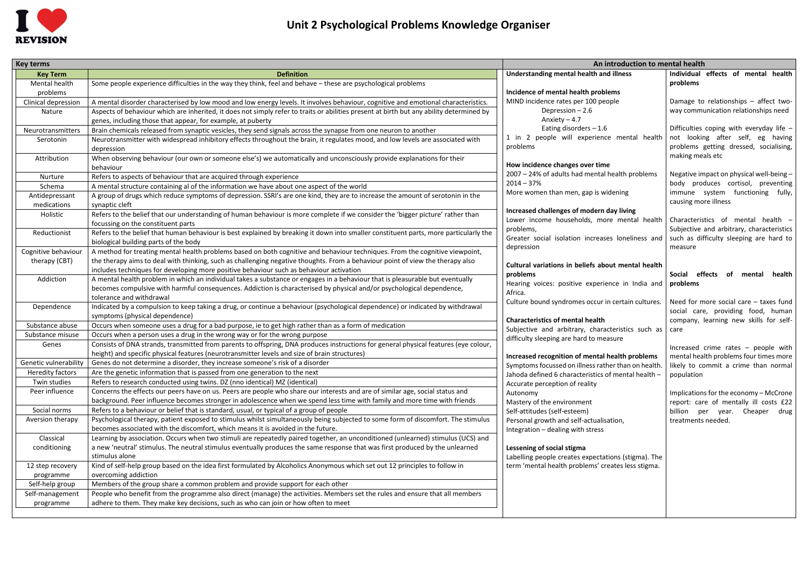

| <b>Key terms</b>             |                                                                                                                                          | An introduction to mental health                             |                                                      |  |
|------------------------------|------------------------------------------------------------------------------------------------------------------------------------------|--------------------------------------------------------------|------------------------------------------------------|--|
| <b>Key Term</b>              | <b>Definition</b>                                                                                                                        | Understanding mental health and illness                      | Individual effects of mental health                  |  |
| Mental health                | Some people experience difficulties in the way they think, feel and behave - these are psychological problems                            |                                                              | problems                                             |  |
| problems                     |                                                                                                                                          | Incidence of mental health problems                          |                                                      |  |
| Clinical depression          | A mental disorder characterised by low mood and low energy levels. It involves behaviour, cognitive and emotional characteristics.       | MIND incidence rates per 100 people                          | Damage to relationships - affect two-                |  |
| Nature                       | Aspects of behaviour which are inherited, it does not simply refer to traits or abilities present at birth but any ability determined by | Depression - 2.6                                             | way communication relationships need                 |  |
|                              | genes, including those that appear, for example, at puberty                                                                              | Anxiety $-4.7$                                               |                                                      |  |
| Neurotransmitters            | Brain chemicals released from synaptic vesicles, they send signals across the synapse from one neuron to another                         | Eating disorders $-1.6$                                      | Difficulties coping with everyday life -             |  |
| Serotonin                    | Neurotransmitter with widespread inhibitory effects throughout the brain, it regulates mood, and low levels are associated with          | 1 in 2 people will experience mental health                  | not looking after self, eg having                    |  |
|                              | depression                                                                                                                               | problems                                                     | problems getting dressed, socialising,               |  |
| Attribution                  | When observing behaviour (our own or someone else's) we automatically and unconsciously provide explanations for their                   |                                                              | making meals etc                                     |  |
|                              | behaviour                                                                                                                                | How incidence changes over time                              |                                                      |  |
| Nurture                      | Refers to aspects of behaviour that are acquired through experience                                                                      | 2007 - 24% of adults had mental health problems              | Negative impact on physical well-being -             |  |
| Schema                       | A mental structure containing al of the information we have about one aspect of the world                                                | $2014 - 37%$                                                 | body produces cortisol, preventing                   |  |
| Antidepressant               | A group of drugs which reduce symptoms of depression. SSRI's are one kind, they are to increase the amount of serotonin in the           | More women than men, gap is widening                         | immune system functioning fully,                     |  |
| medications                  | synaptic cleft                                                                                                                           |                                                              | causing more illness                                 |  |
| Holistic                     | Refers to the belief that our understanding of human behaviour is more complete if we consider the 'bigger picture' rather than          | Increased challenges of modern day living                    |                                                      |  |
|                              | focussing on the constituent parts                                                                                                       | Lower income households, more mental health                  | Characteristics of mental health -                   |  |
| Reductionist                 | Refers to the belief that human behaviour is best explained by breaking it down into smaller constituent parts, more particularly the    | problems,                                                    | Subjective and arbitrary, characteristics            |  |
|                              | biological building parts of the body                                                                                                    | Greater social isolation increases loneliness and            | such as difficulty sleeping are hard to              |  |
| Cognitive behaviour          | A method for treating mental health problems based on both cognitive and behaviour techniques. From the cognitive viewpoint,             | depression                                                   | measure                                              |  |
| therapy (CBT)                | the therapy aims to deal with thinking, such as challenging negative thoughts. From a behaviour point of view the therapy also           |                                                              |                                                      |  |
|                              | includes techniques for developing more positive behaviour such as behaviour activation                                                  | Cultural variations in beliefs about mental health           |                                                      |  |
| Addiction                    | A mental health problem in which an individual takes a substance or engages in a behaviour that is pleasurable but eventually            | problems<br>Hearing voices: positive experience in India and | effects<br>Social<br>of mental<br>health<br>problems |  |
|                              | becomes compulsive with harmful consequences. Addiction is characterised by physical and/or psychological dependence,                    | Africa.                                                      |                                                      |  |
|                              | tolerance and withdrawal                                                                                                                 | Culture bound syndromes occur in certain cultures.           | Need for more social care $-$ taxes fund             |  |
| Dependence                   | Indicated by a compulsion to keep taking a drug, or continue a behaviour (psychological dependence) or indicated by withdrawal           |                                                              | social care, providing food, human                   |  |
|                              | symptoms (physical dependence)                                                                                                           | <b>Characteristics of mental health</b>                      | company, learning new skills for self-               |  |
| Substance abuse              | Occurs when someone uses a drug for a bad purpose, ie to get high rather than as a form of medication                                    | Subjective and arbitrary, characteristics such as            | care                                                 |  |
| Substance misuse             | Occurs when a person uses a drug in the wrong way or for the wrong purpose                                                               | difficulty sleeping are hard to measure                      |                                                      |  |
| Genes                        | Consists of DNA strands, transmitted from parents to offspring, DNA produces instructions for general physical features (eye colour,     |                                                              | Increased crime rates - people with                  |  |
|                              | height) and specific physical features (neurotransmitter levels and size of brain structures)                                            | Increased recognition of mental health problems              | mental health problems four times more               |  |
| <b>Genetic vulnerability</b> | Genes do not determine a disorder, they increase someone's risk of a disorder                                                            | Symptoms focussed on illness rather than on health           | likely to commit a crime than normal                 |  |
| <b>Heredity factors</b>      | Are the genetic information that is passed from one generation to the next                                                               | Jahoda defined 6 characteristics of mental health -          | population                                           |  |
| Twin studies                 | Refers to research conducted using twins. DZ (nno identical) MZ (identical)                                                              | Accurate perception of reality                               |                                                      |  |
| Peer influence               | Concerns the effects our peers have on us. Peers are people who share our interests and are of similar age, social status and            | Autonomy                                                     | Implications for the economy - McCrone               |  |
|                              | background. Peer influence becomes stronger in adolescence when we spend less time with family and more time with friends                | Mastery of the environment                                   | report: care of mentally ill costs £22               |  |
| Social norms                 | Refers to a behaviour or belief that is standard, usual, or typical of a group of people                                                 | Self-attitudes (self-esteem)                                 | billion per year. Cheaper drug                       |  |
| Aversion therapy             | Psychological therapy, patient exposed to stimulus whilst simultaneously being subjected to some form of discomfort. The stimulus        | Personal growth and self-actualisation,                      | treatments needed.                                   |  |
|                              | becomes associated with the discomfort, which means it is avoided in the future.                                                         | Integration - dealing with stress                            |                                                      |  |
| Classical                    | Learning by association. Occurs when two stimuli are repeatedly paired together, an unconditioned (unlearned) stimulus (UCS) and         |                                                              |                                                      |  |
| conditioning                 | a new 'neutral' stimulus. The neutral stimulus eventually produces the same response that was first produced by the unlearned            | Lessening of social stigma                                   |                                                      |  |
|                              | stimulus alone                                                                                                                           | Labelling people creates expectations (stigma). The          |                                                      |  |
| 12 step recovery             | Kind of self-help group based on the idea first formulated by Alcoholics Anonymous which set out 12 principles to follow in              | term 'mental health problems' creates less stigma.           |                                                      |  |
| programme                    | overcoming addiction                                                                                                                     |                                                              |                                                      |  |
| Self-help group              | Members of the group share a common problem and provide support for each other                                                           |                                                              |                                                      |  |
| Self-management              | People who benefit from the programme also direct (manage) the activities. Members set the rules and ensure that all members             |                                                              |                                                      |  |
| programme                    | adhere to them. They make key decisions, such as who can join or how often to meet                                                       |                                                              |                                                      |  |
|                              |                                                                                                                                          |                                                              |                                                      |  |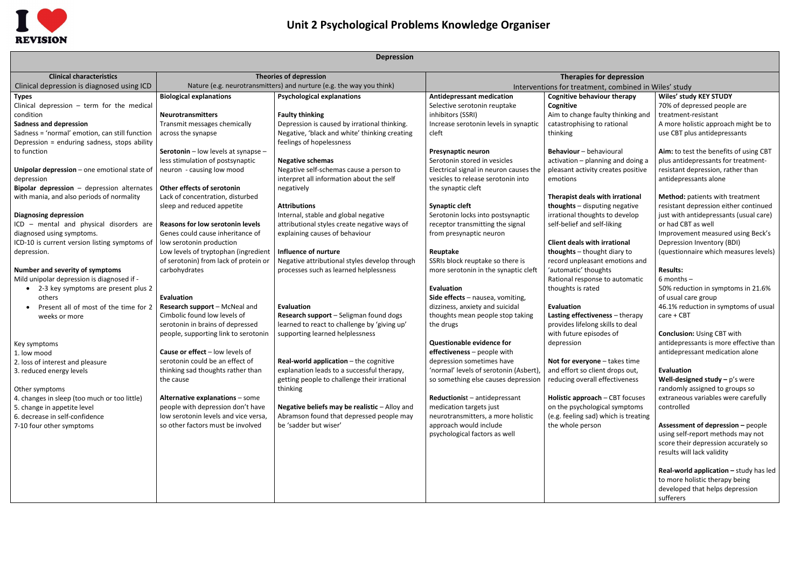

## **Unit 2 Psychological Problems Knowledge Organiser**

| <b>Depression</b> |
|-------------------|
|-------------------|

| <b>DENIESSINII</b>                                                                                                     |                                                                                                          |                                                                                                                                      |                                                                                                            |                                                                                                         |                                                                                                                                              |  |  |
|------------------------------------------------------------------------------------------------------------------------|----------------------------------------------------------------------------------------------------------|--------------------------------------------------------------------------------------------------------------------------------------|------------------------------------------------------------------------------------------------------------|---------------------------------------------------------------------------------------------------------|----------------------------------------------------------------------------------------------------------------------------------------------|--|--|
| <b>Clinical characteristics</b>                                                                                        | <b>Theories of depression</b><br>Nature (e.g. neurotransmitters) and nurture (e.g. the way you think)    |                                                                                                                                      | <b>Therapies for depression</b>                                                                            |                                                                                                         |                                                                                                                                              |  |  |
| Clinical depression is diagnosed using ICD                                                                             |                                                                                                          |                                                                                                                                      | Interventions for treatment, combined in Wiles' study                                                      |                                                                                                         |                                                                                                                                              |  |  |
| <b>Types</b><br>Clinical depression $-$ term for the medical                                                           | <b>Biological explanations</b>                                                                           | <b>Psychological explanations</b>                                                                                                    | <b>Antidepressant medication</b><br>Selective serotonin reuptake                                           | <b>Cognitive behaviour therapy</b><br>Cognitive                                                         | Wiles' study KEY STUDY<br>70% of depressed people are                                                                                        |  |  |
| condition<br><b>Sadness and depression</b>                                                                             | <b>Neurotransmitters</b><br>Transmit messages chemically                                                 | <b>Faulty thinking</b><br>Depression is caused by irrational thinking.                                                               | inhibitors (SSRI)<br>Increase serotonin levels in synaptic                                                 | Aim to change faulty thinking and<br>catastrophising to rational                                        | treatment-resistant<br>A more holistic approach might be to                                                                                  |  |  |
| Sadness = 'normal' emotion, can still function<br>Depression = enduring sadness, stops ability                         | across the synapse                                                                                       | Negative, 'black and white' thinking creating<br>feelings of hopelessness                                                            | cleft                                                                                                      | thinking                                                                                                | use CBT plus antidepressants                                                                                                                 |  |  |
| to function                                                                                                            | Serotonin - low levels at synapse -<br>less stimulation of postsynaptic                                  | <b>Negative schemas</b>                                                                                                              | Presynaptic neuron<br>Serotonin stored in vesicles                                                         | Behaviour - behavioural<br>activation - planning and doing a                                            | Aim: to test the benefits of using CBT<br>plus antidepressants for treatment-                                                                |  |  |
| Unipolar depression - one emotional state of<br>depression                                                             | neuron - causing low mood                                                                                | Negative self-schemas cause a person to<br>interpret all information about the self                                                  | Electrical signal in neuron causes the<br>vesicles to release serotonin into                               | pleasant activity creates positive<br>emotions                                                          | resistant depression, rather than<br>antidepressants alone                                                                                   |  |  |
| <b>Bipolar depression</b> $-$ depression alternates<br>with mania, and also periods of normality                       | Other effects of serotonin<br>Lack of concentration, disturbed                                           | negatively                                                                                                                           | the synaptic cleft                                                                                         | Therapist deals with irrational                                                                         | Method: patients with treatment                                                                                                              |  |  |
| <b>Diagnosing depression</b><br>ICD - mental and physical disorders are                                                | sleep and reduced appetite<br>Reasons for low serotonin levels                                           | <b>Attributions</b><br>Internal, stable and global negative<br>attributional styles create negative ways of                          | <b>Synaptic cleft</b><br>Serotonin locks into postsynaptic<br>receptor transmitting the signal             | <b>thoughts</b> $-$ disputing negative<br>irrational thoughts to develop<br>self-belief and self-liking | resistant depression either continued<br>just with antidepressants (usual care)<br>or had CBT as well                                        |  |  |
| diagnosed using symptoms.<br>ICD-10 is current version listing symptoms of                                             | Genes could cause inheritance of<br>low serotonin production                                             | explaining causes of behaviour                                                                                                       | from presynaptic neuron                                                                                    | <b>Client deals with irrational</b>                                                                     | Improvement measured using Beck's<br>Depression Inventory (BDI)                                                                              |  |  |
| depression.                                                                                                            | Low levels of tryptophan (ingredient<br>of serotonin) from lack of protein or                            | Influence of nurture<br>Negative attributional styles develop through                                                                | Reuptake<br>SSRIs block reuptake so there is                                                               | thoughts - thought diary to<br>record unpleasant emotions and                                           | (questionnaire which measures levels)                                                                                                        |  |  |
| Number and severity of symptoms<br>Mild unipolar depression is diagnosed if -<br>• 2-3 key symptoms are present plus 2 | carbohydrates                                                                                            | processes such as learned helplessness                                                                                               | more serotonin in the synaptic cleft<br><b>Evaluation</b>                                                  | 'automatic' thoughts<br>Rational response to automatic<br>thoughts is rated                             | <b>Results:</b><br>$6$ months $-$<br>50% reduction in symptoms in 21.6%                                                                      |  |  |
| others<br>Present all of most of the time for 2                                                                        | Evaluation<br>Research support - McNeal and                                                              | Evaluation                                                                                                                           | Side effects - nausea, vomiting,<br>dizziness, anxiety and suicidal                                        | Evaluation                                                                                              | of usual care group<br>46.1% reduction in symptoms of usual                                                                                  |  |  |
| weeks or more                                                                                                          | Cimbolic found low levels of<br>serotonin in brains of depressed<br>people, supporting link to serotonin | Research support - Seligman found dogs<br>learned to react to challenge by 'giving up'<br>supporting learned helplessness            | thoughts mean people stop taking<br>the drugs                                                              | Lasting effectiveness - therapy<br>provides lifelong skills to deal<br>with future episodes of          | care + CBT<br><b>Conclusion: Using CBT with</b>                                                                                              |  |  |
| Key symptoms<br>1. low mood                                                                                            | <b>Cause or effect - low levels of</b>                                                                   |                                                                                                                                      | <b>Questionable evidence for</b><br>effectiveness - people with                                            | depression                                                                                              | antidepressants is more effective than<br>antidepressant medication alone                                                                    |  |  |
| 2. loss of interest and pleasure<br>3. reduced energy levels                                                           | serotonin could be an effect of<br>thinking sad thoughts rather than<br>the cause                        | Real-world application - the cognitive<br>explanation leads to a successful therapy,<br>getting people to challenge their irrational | depression sometimes have<br>'normal' levels of serotonin (Asbert),<br>so something else causes depression | Not for everyone - takes time<br>and effort so client drops out,<br>reducing overall effectiveness      | Evaluation<br>Well-designed study $- p's$ were                                                                                               |  |  |
| Other symptoms<br>4. changes in sleep (too much or too little)                                                         | Alternative explanations - some                                                                          | thinking                                                                                                                             | Reductionist - antidepressant                                                                              | Holistic approach - CBT focuses                                                                         | randomly assigned to groups so<br>extraneous variables were carefully                                                                        |  |  |
| 5. change in appetite level<br>6. decrease in self-confidence                                                          | people with depression don't have<br>low serotonin levels and vice versa,                                | Negative beliefs may be realistic - Alloy and<br>Abramson found that depressed people may                                            | medication targets just<br>neurotransmitters, a more holistic                                              | on the psychological symptoms<br>(e.g. feeling sad) which is treating                                   | controlled                                                                                                                                   |  |  |
| 7-10 four other symptoms                                                                                               | so other factors must be involved                                                                        | be 'sadder but wiser'                                                                                                                | approach would include<br>psychological factors as well                                                    | the whole person                                                                                        | Assessment of depression - people<br>using self-report methods may not<br>score their depression accurately so<br>results will lack validity |  |  |
|                                                                                                                        |                                                                                                          |                                                                                                                                      |                                                                                                            |                                                                                                         | Real-world application - study has led<br>to more holistic therapy being<br>developed that helps depression<br>sufferers                     |  |  |